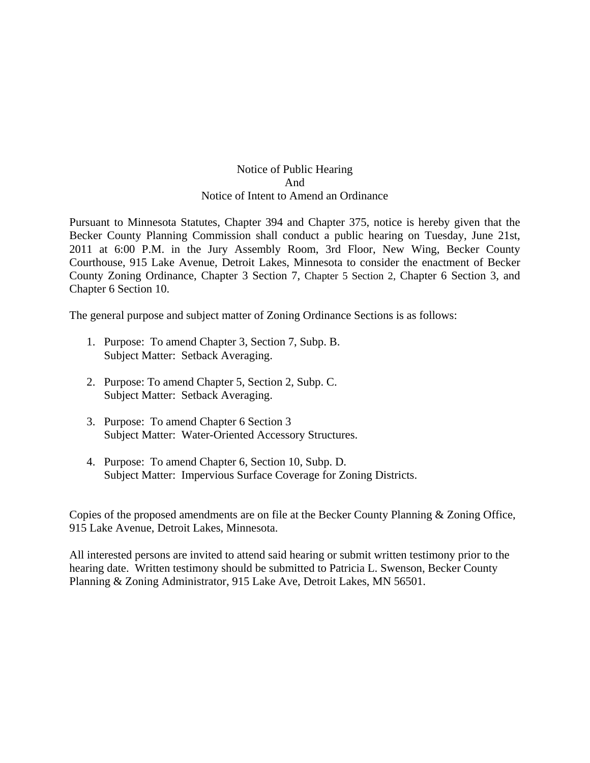## Notice of Public Hearing And Notice of Intent to Amend an Ordinance

Pursuant to Minnesota Statutes, Chapter 394 and Chapter 375, notice is hereby given that the Becker County Planning Commission shall conduct a public hearing on Tuesday, June 21st, 2011 at 6:00 P.M. in the Jury Assembly Room, 3rd Floor, New Wing, Becker County Courthouse, 915 Lake Avenue, Detroit Lakes, Minnesota to consider the enactment of Becker County Zoning Ordinance, Chapter 3 Section 7, Chapter 5 Section 2, Chapter 6 Section 3, and Chapter 6 Section 10.

The general purpose and subject matter of Zoning Ordinance Sections is as follows:

- 1. Purpose: To amend Chapter 3, Section 7, Subp. B. Subject Matter: Setback Averaging.
- 2. Purpose: To amend Chapter 5, Section 2, Subp. C. Subject Matter: Setback Averaging.
- 3. Purpose: To amend Chapter 6 Section 3 Subject Matter: Water-Oriented Accessory Structures.
- 4. Purpose: To amend Chapter 6, Section 10, Subp. D. Subject Matter: Impervious Surface Coverage for Zoning Districts.

Copies of the proposed amendments are on file at the Becker County Planning & Zoning Office, 915 Lake Avenue, Detroit Lakes, Minnesota.

All interested persons are invited to attend said hearing or submit written testimony prior to the hearing date. Written testimony should be submitted to Patricia L. Swenson, Becker County Planning & Zoning Administrator, 915 Lake Ave, Detroit Lakes, MN 56501.